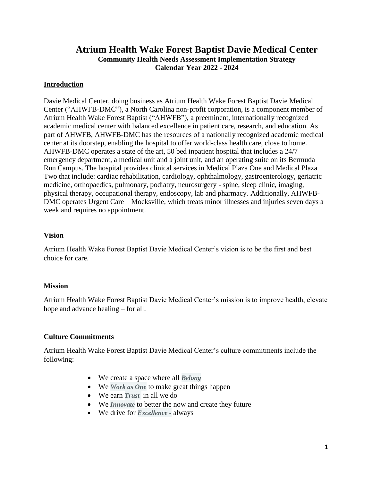# **Atrium Health Wake Forest Baptist Davie Medical Center Community Health Needs Assessment Implementation Strategy Calendar Year 2022 - 2024**

#### **Introduction**

Davie Medical Center, doing business as Atrium Health Wake Forest Baptist Davie Medical Center ("AHWFB-DMC"), a North Carolina non-profit corporation, is a component member of Atrium Health Wake Forest Baptist ("AHWFB"), a preeminent, internationally recognized academic medical center with balanced excellence in patient care, research, and education. As part of AHWFB, AHWFB-DMC has the resources of a nationally recognized academic medical center at its doorstep, enabling the hospital to offer world-class health care, close to home. AHWFB-DMC operates a state of the art, 50 bed inpatient hospital that includes a 24/7 emergency department, a medical unit and a joint unit, and an operating suite on its Bermuda Run Campus. The hospital provides clinical services in Medical Plaza One and Medical Plaza Two that include: cardiac rehabilitation, cardiology, ophthalmology, gastroenterology, geriatric medicine, orthopaedics, pulmonary, podiatry, neurosurgery - spine, sleep clinic, imaging, physical therapy, occupational therapy, endoscopy, lab and pharmacy. Additionally, AHWFB-DMC operates Urgent Care – Mocksville, which treats minor illnesses and injuries seven days a week and requires no appointment.

#### **Vision**

Atrium Health Wake Forest Baptist Davie Medical Center's vision is to be the first and best choice for care.

#### **Mission**

Atrium Health Wake Forest Baptist Davie Medical Center's mission is to improve health, elevate hope and advance healing – for all.

#### **Culture Commitments**

Atrium Health Wake Forest Baptist Davie Medical Center's culture commitments include the following:

- We create a space where all *Belong*
- We *Work as One* to make great things happen
- We earn *Trust* in all we do
- We *Innovate* to better the now and create they future
- We drive for *Excellence -* always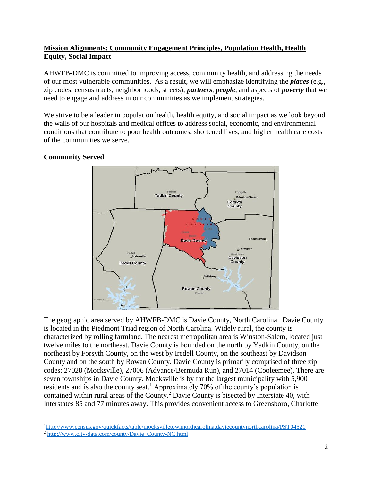# **Mission Alignments: Community Engagement Principles, Population Health, Health Equity, Social Impact**

AHWFB-DMC is committed to improving access, community health, and addressing the needs of our most vulnerable communities. As a result, we will emphasize identifying the *places* (e.g., zip codes, census tracts, neighborhoods, streets), *partners, people*, and aspects of *poverty* that we need to engage and address in our communities as we implement strategies.

We strive to be a leader in population health, health equity, and social impact as we look beyond the walls of our hospitals and medical offices to address social, economic, and environmental conditions that contribute to poor health outcomes, shortened lives, and higher health care costs of the communities we serve.

## **Community Served**



The geographic area served by AHWFB-DMC is Davie County, North Carolina. Davie County is located in the Piedmont Triad region of North Carolina. Widely rural, the county is characterized by rolling farmland. The nearest metropolitan area is Winston-Salem, located just twelve miles to the northeast. Davie County is bounded on the north by Yadkin County, on the northeast by Forsyth County, on the west by Iredell County, on the southeast by Davidson County and on the south by Rowan County. Davie County is primarily comprised of three zip codes: 27028 (Mocksville), 27006 (Advance/Bermuda Run), and 27014 (Cooleemee). There are seven townships in Davie County. Mocksville is by far the largest municipality with 5,900 residents and is also the county seat.<sup>1</sup> Approximately 70% of the county's population is contained within rural areas of the County.<sup>2</sup> Davie County is bisected by Interstate 40, with Interstates 85 and 77 minutes away. This provides convenient access to Greensboro, Charlotte

 $\overline{a}$ 

<sup>1</sup><http://www.census.gov/quickfacts/table/mocksvilletownnorthcarolina,daviecountynorthcarolina/PST04521>

<sup>2</sup> [http://www.city-data.com/county/Davie\\_County-NC.html](http://www.city-data.com/county/Davie_County-NC.html)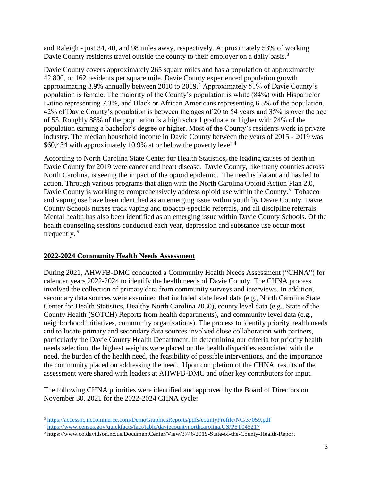and Raleigh - just 34, 40, and 98 miles away, respectively. Approximately 53% of working Davie County residents travel outside the county to their employer on a daily basis.<sup>3</sup>

Davie County covers approximately 265 square miles and has a population of approximately 42,800, or 162 residents per square mile. Davie County experienced population growth approximating 3.9% annually between 2010 to 2019.<sup>4</sup> Approximately 51% of Davie County's population is female. The majority of the County's population is white (84%) with Hispanic or Latino representing 7.3%, and Black or African Americans representing 6.5% of the population. 42% of Davie County's population is between the ages of 20 to 54 years and 35% is over the age of 55. Roughly 88% of the population is a high school graduate or higher with 24% of the population earning a bachelor's degree or higher. Most of the County's residents work in private industry. The median household income in Davie County between the years of 2015 - 2019 was \$60,434 with approximately 10.9% at or below the poverty level.<sup>4</sup>

According to North Carolina State Center for Health Statistics, the leading causes of death in Davie County for 2019 were cancer and heart disease. Davie County, like many counties across North Carolina, is seeing the impact of the opioid epidemic. The need is blatant and has led to action. Through various programs that align with the North Carolina Opioid Action Plan 2.0, Davie County is working to comprehensively address opioid use within the County.<sup>5</sup> Tobacco and vaping use have been identified as an emerging issue within youth by Davie County. Davie County Schools nurses track vaping and tobacco-specific referrals, and all discipline referrals. Mental health has also been identified as an emerging issue within Davie County Schools. Of the health counseling sessions conducted each year, depression and substance use occur most frequently. <sup>5</sup>

### **2022-2024 Community Health Needs Assessment**

During 2021, AHWFB-DMC conducted a Community Health Needs Assessment ("CHNA") for calendar years 2022-2024 to identify the health needs of Davie County. The CHNA process involved the collection of primary data from community surveys and interviews. In addition, secondary data sources were examined that included state level data (e.g., North Carolina State Center for Health Statistics, Healthy North Carolina 2030), county level data (e.g., State of the County Health (SOTCH) Reports from health departments), and community level data (e.g., neighborhood initiatives, community organizations). The process to identify priority health needs and to locate primary and secondary data sources involved close collaboration with partners, particularly the Davie County Health Department. In determining our criteria for priority health needs selection, the highest weights were placed on the health disparities associated with the need, the burden of the health need, the feasibility of possible interventions, and the importance the community placed on addressing the need. Upon completion of the CHNA, results of the assessment were shared with leaders at AHWFB-DMC and other key contributors for input.

The following CHNA priorities were identified and approved by the Board of Directors on November 30, 2021 for the 2022-2024 CHNA cycle:

 $\overline{\phantom{a}}$ <sup>3</sup> <https://accessnc.nccommerce.com/DemoGraphicsReports/pdfs/countyProfile/NC/37059.pdf>

<sup>4</sup> <https://www.census.gov/quickfacts/fact/table/daviecountynorthcarolina,US/PST045217>

<sup>5</sup> https://www.co.davidson.nc.us/DocumentCenter/View/3746/2019-State-of-the-County-Health-Report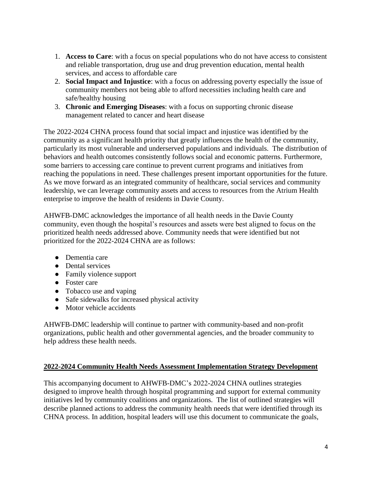- 1. **Access to Care**: with a focus on special populations who do not have access to consistent and reliable transportation, drug use and drug prevention education, mental health services, and access to affordable care
- 2. **Social Impact and Injustice**: with a focus on addressing poverty especially the issue of community members not being able to afford necessities including health care and safe/healthy housing
- 3. **Chronic and Emerging Diseases**: with a focus on supporting chronic disease management related to cancer and heart disease

The 2022-2024 CHNA process found that social impact and injustice was identified by the community as a significant health priority that greatly influences the health of the community, particularly its most vulnerable and underserved populations and individuals. The distribution of behaviors and health outcomes consistently follows social and economic patterns. Furthermore, some barriers to accessing care continue to prevent current programs and initiatives from reaching the populations in need. These challenges present important opportunities for the future. As we move forward as an integrated community of healthcare, social services and community leadership, we can leverage community assets and access to resources from the Atrium Health enterprise to improve the health of residents in Davie County.

AHWFB-DMC acknowledges the importance of all health needs in the Davie County community, even though the hospital's resources and assets were best aligned to focus on the prioritized health needs addressed above. Community needs that were identified but not prioritized for the 2022-2024 CHNA are as follows:

- Dementia care
- Dental services
- Family violence support
- Foster care
- Tobacco use and vaping
- Safe sidewalks for increased physical activity
- Motor vehicle accidents

AHWFB-DMC leadership will continue to partner with community-based and non-profit organizations, public health and other governmental agencies, and the broader community to help address these health needs.

### **2022-2024 Community Health Needs Assessment Implementation Strategy Development**

This accompanying document to AHWFB-DMC's 2022-2024 CHNA outlines strategies designed to improve health through hospital programming and support for external community initiatives led by community coalitions and organizations. The list of outlined strategies will describe planned actions to address the community health needs that were identified through its CHNA process. In addition, hospital leaders will use this document to communicate the goals,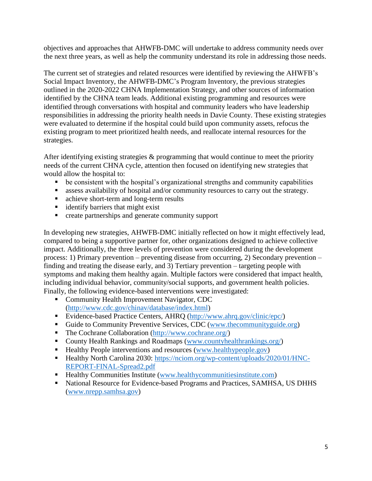objectives and approaches that AHWFB-DMC will undertake to address community needs over the next three years, as well as help the community understand its role in addressing those needs.

The current set of strategies and related resources were identified by reviewing the AHWFB's Social Impact Inventory, the AHWFB-DMC's Program Inventory, the previous strategies outlined in the 2020-2022 CHNA Implementation Strategy, and other sources of information identified by the CHNA team leads. Additional existing programming and resources were identified through conversations with hospital and community leaders who have leadership responsibilities in addressing the priority health needs in Davie County. These existing strategies were evaluated to determine if the hospital could build upon community assets, refocus the existing program to meet prioritized health needs, and reallocate internal resources for the strategies.

After identifying existing strategies & programming that would continue to meet the priority needs of the current CHNA cycle, attention then focused on identifying new strategies that would allow the hospital to:

- be consistent with the hospital's organizational strengths and community capabilities
- assess availability of hospital and/or community resources to carry out the strategy.
- achieve short-term and long-term results
- **identify barriers that might exist**
- **•** create partnerships and generate community support

In developing new strategies, AHWFB-DMC initially reflected on how it might effectively lead, compared to being a supportive partner for, other organizations designed to achieve collective impact. Additionally, the three levels of prevention were considered during the development process: 1) Primary prevention – preventing disease from occurring, 2) Secondary prevention – finding and treating the disease early, and 3) Tertiary prevention – targeting people with symptoms and making them healthy again. Multiple factors were considered that impact health, including individual behavior, community/social supports, and government health policies. Finally, the following evidence-based interventions were investigated:

- **Community Health Improvement Navigator, CDC** [\(http://www.cdc.gov/chinav/database/index.html\)](http://www.cdc.gov/chinav/database/index.html)
- Evidence-based Practice Centers, AHRQ [\(http://www.ahrq.gov/clinic/epc/\)](http://www.ahrq.gov/clinic/epc/)
- Guide to Community Preventive Services, CDC [\(www.thecommunityguide.org\)](http://www.thecommunityguide.org/)
- The Cochrane Collaboration [\(http://www.cochrane.org/\)](http://www.cochrane.org/)
- County Health Rankings and Roadmaps [\(www.countyhealthrankings.org/\)](http://www.countyhealthrankings.org/)
- Healthy People interventions and resources [\(www.healthypeople.gov\)](http://www.healthypeople.gov/)
- Healthy North Carolina 2030: [https://nciom.org/wp-content/uploads/2020/01/HNC-](https://nciom.org/wp-content/uploads/2020/01/HNC-REPORT-FINAL-Spread2.pdf)[REPORT-FINAL-Spread2.pdf](https://nciom.org/wp-content/uploads/2020/01/HNC-REPORT-FINAL-Spread2.pdf)
- Healthy Communities Institute [\(www.healthycommunitiesinstitute.com\)](http://www.healthycommunitiesinstitute.com/)
- National Resource for Evidence-based Programs and Practices, SAMHSA, US DHHS [\(www.nrepp.samhsa.gov\)](http://www.nrepp.samhsa.gov/)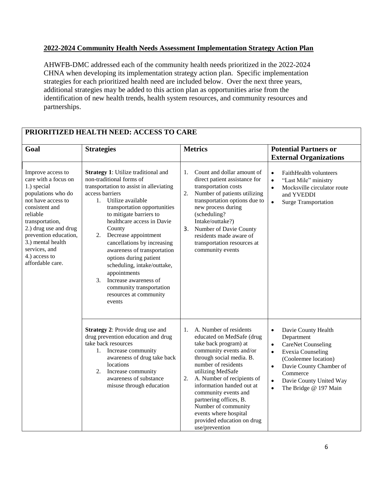### **2022-2024 Community Health Needs Assessment Implementation Strategy Action Plan**

AHWFB-DMC addressed each of the community health needs prioritized in the 2022-2024 CHNA when developing its implementation strategy action plan. Specific implementation strategies for each prioritized health need are included below. Over the next three years, additional strategies may be added to this action plan as opportunities arise from the identification of new health trends, health system resources, and community resources and partnerships.

| Goal                                                                                                                                                                                                                                                                               | <b>Strategies</b>                                                                                                                                                                                                                                                                                                                                                                                                                                                                                                                      | <b>Metrics</b>                                                                                                                                                                                                                                                                                                                                                                                           | <b>Potential Partners or</b><br><b>External Organizations</b>                                                                                                                                                                                                                  |
|------------------------------------------------------------------------------------------------------------------------------------------------------------------------------------------------------------------------------------------------------------------------------------|----------------------------------------------------------------------------------------------------------------------------------------------------------------------------------------------------------------------------------------------------------------------------------------------------------------------------------------------------------------------------------------------------------------------------------------------------------------------------------------------------------------------------------------|----------------------------------------------------------------------------------------------------------------------------------------------------------------------------------------------------------------------------------------------------------------------------------------------------------------------------------------------------------------------------------------------------------|--------------------------------------------------------------------------------------------------------------------------------------------------------------------------------------------------------------------------------------------------------------------------------|
| Improve access to<br>care with a focus on<br>1.) special<br>populations who do<br>not have access to<br>consistent and<br>reliable<br>transportation,<br>2.) drug use and drug<br>prevention education,<br>3.) mental health<br>services, and<br>4.) access to<br>affordable care. | <b>Strategy 1:</b> Utilize traditional and<br>non-traditional forms of<br>transportation to assist in alleviating<br>access barriers<br>Utilize available<br>1.<br>transportation opportunities<br>to mitigate barriers to<br>healthcare access in Davie<br>County<br>Decrease appointment<br>2.<br>cancellations by increasing<br>awareness of transportation<br>options during patient<br>scheduling, intake/outtake,<br>appointments<br>3.<br>Increase awareness of<br>community transportation<br>resources at community<br>events | Count and dollar amount of<br>1.<br>direct patient assistance for<br>transportation costs<br>Number of patients utilizing<br>2.<br>transportation options due to<br>new process during<br>(scheduling?<br>Intake/outtake?)<br>3. Number of Davie County<br>residents made aware of<br>transportation resources at<br>community events                                                                    | FaithHealth volunteers<br>$\bullet$<br>"Last Mile" ministry<br>$\bullet$<br>Mocksville circulator route<br>$\bullet$<br>and YVEDDI<br><b>Surge Transportation</b><br>$\bullet$                                                                                                 |
|                                                                                                                                                                                                                                                                                    | <b>Strategy 2: Provide drug use and</b><br>drug prevention education and drug<br>take back resources<br>1. Increase community<br>awareness of drug take back<br>locations<br>Increase community<br>2.<br>awareness of substance<br>misuse through education                                                                                                                                                                                                                                                                            | A. Number of residents<br>1.<br>educated on MedSafe (drug<br>take back program) at<br>community events and/or<br>through social media. B.<br>number of residents<br>utilizing MedSafe<br>A. Number of recipients of<br>2.<br>information handed out at<br>community events and<br>partnering offices, B.<br>Number of community<br>events where hospital<br>provided education on drug<br>use/prevention | Davie County Health<br>$\bullet$<br>Department<br><b>CareNet Counseling</b><br>$\bullet$<br><b>Evexia Counseling</b><br>$\bullet$<br>(Cooleemee location)<br>Davie County Chamber of<br>$\bullet$<br>Commerce<br>Davie County United Way<br>$\bullet$<br>The Bridge @ 197 Main |

# **PRIORITIZED HEALTH NEED: ACCESS TO CARE**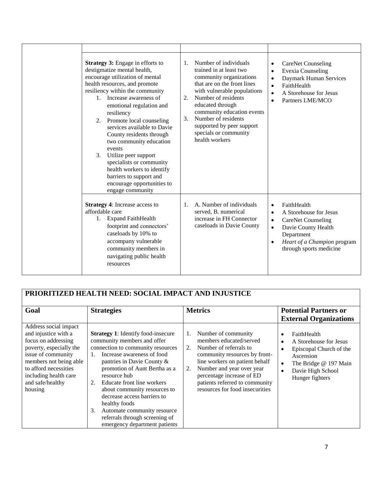|  | <b>Strategy 3:</b> Engage in efforts to<br>destigmatize mental health,<br>encourage utilization of mental<br>health resources, and promote<br>resiliency within the community<br>1. Increase awareness of                                                                                                                                     | Number of individuals<br>$\mathbf{1}$ .<br>trained in at least two<br>community organizations<br>that are on the front lines<br>with vulnerable populations<br>Number of residents<br>2. | <b>CareNet Counseling</b><br>$\bullet$<br><b>Evexia Counseling</b><br>Daymark Human Services<br>$\bullet$<br>FaithHealth<br>$\bullet$<br>A Storehouse for Jesus<br>Partners LME/MCO<br>$\bullet$         |
|--|-----------------------------------------------------------------------------------------------------------------------------------------------------------------------------------------------------------------------------------------------------------------------------------------------------------------------------------------------|------------------------------------------------------------------------------------------------------------------------------------------------------------------------------------------|----------------------------------------------------------------------------------------------------------------------------------------------------------------------------------------------------------|
|  | emotional regulation and<br>resiliency<br>Promote local counseling<br>2.<br>services available to Davie<br>County residents through<br>two community education<br>events<br>Utilize peer support<br>3.<br>specialists or community<br>health workers to identify<br>barriers to support and<br>encourage opportunities to<br>engage community | educated through<br>community education events<br>Number of residents<br>3.<br>supported by peer support<br>specials or community<br>health workers                                      |                                                                                                                                                                                                          |
|  | <b>Strategy 4:</b> Increase access to<br>affordable care<br>1. Expand FaithHealth<br>footprint and connectors'<br>caseloads by 10% to<br>accompany vulnerable<br>community members in<br>navigating public health<br>resources                                                                                                                | A. Number of individuals<br>1.<br>served, B. numerical<br>increase in FH Connector<br>caseloads in Davie County                                                                          | FaithHealth<br>$\bullet$<br>A Storehouse for Jesus<br>$\bullet$<br><b>CareNet Counseling</b><br>Davie County Health<br>$\bullet$<br>Department<br>Heart of a Champion program<br>through sports medicine |

| Goal                                                                                                                                                                                                                             | PRIORITIZED HEALTH NEED: SOCIAL IMPACT AND INJUSTICE<br><b>Strategies</b>                                                                                                                                                                                                                                                                                                                                                                                         | <b>Metrics</b>                                                                                                                                                                                                                                                                               | <b>Potential Partners or</b><br><b>External Organizations</b>                                                                                                                                                   |
|----------------------------------------------------------------------------------------------------------------------------------------------------------------------------------------------------------------------------------|-------------------------------------------------------------------------------------------------------------------------------------------------------------------------------------------------------------------------------------------------------------------------------------------------------------------------------------------------------------------------------------------------------------------------------------------------------------------|----------------------------------------------------------------------------------------------------------------------------------------------------------------------------------------------------------------------------------------------------------------------------------------------|-----------------------------------------------------------------------------------------------------------------------------------------------------------------------------------------------------------------|
| Address social impact<br>and injustice with a<br>focus on addressing<br>poverty, especially the<br>issue of community<br>members not being able<br>to afford necessities<br>including health care<br>and safe/healthy<br>housing | <b>Strategy 1:</b> Identify food-insecure<br>community members and offer<br>connection to community resources<br>Increase awareness of food<br>$1_{-}$<br>pantries in Davie County &<br>promotion of Aunt Bertha as a<br>resource hub<br>Educate front line workers<br>2.<br>about community resources to<br>decrease access barriers to<br>healthy foods<br>Automate community resource<br>3.<br>referrals through screening of<br>emergency department patients | Number of community<br>1.<br>members educated/served<br>Number of referrals to<br>2.<br>community resources by front-<br>line workers on patient behalf<br>Number and year over year<br>2.<br>percentage increase of ED<br>patients referred to community<br>resources for food insecurities | FaithHealth<br>$\bullet$<br>A Storehouse for Jesus<br>$\bullet$<br>Episcopal Church of the<br>$\bullet$<br>Ascension<br>The Bridge @ 197 Main<br>$\bullet$<br>Davie High School<br>$\bullet$<br>Hunger fighters |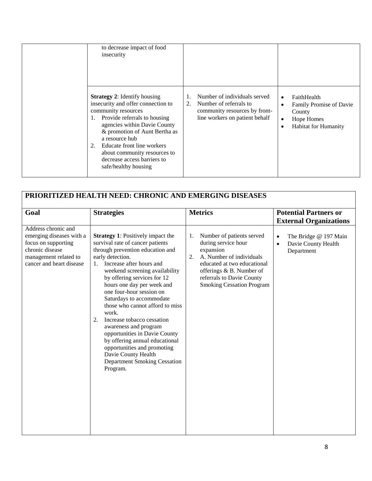| to decrease impact of food<br>insecurity<br><b>Strategy 2:</b> Identify housing<br>insecurity and offer connection to<br>community resources<br>Provide referrals to housing<br>1.<br>agencies within Davie County<br>& promotion of Aunt Bertha as<br>a resource hub<br>Educate front line workers<br>2.<br>about community resources to<br>decrease access barriers to<br>safe/healthy housing | Number of individuals served<br>Number of referrals to<br>2.<br>community resources by front-<br>line workers on patient behalf | FaithHealth<br>$\bullet$<br>Family Promise of Davie<br>$\bullet$<br>County<br>Hope Homes<br>$\bullet$<br><b>Habitat for Humanity</b><br>$\bullet$ |
|--------------------------------------------------------------------------------------------------------------------------------------------------------------------------------------------------------------------------------------------------------------------------------------------------------------------------------------------------------------------------------------------------|---------------------------------------------------------------------------------------------------------------------------------|---------------------------------------------------------------------------------------------------------------------------------------------------|
|--------------------------------------------------------------------------------------------------------------------------------------------------------------------------------------------------------------------------------------------------------------------------------------------------------------------------------------------------------------------------------------------------|---------------------------------------------------------------------------------------------------------------------------------|---------------------------------------------------------------------------------------------------------------------------------------------------|

| PRIORITIZED HEALTH NEED: CHRONIC AND EMERGING DISEASES                                                                                         |                                                                                                                                                                                                                                                                                                                                                                                                                                                                                                                                                                                                                    |                                                                                                                                                                                                                                   |                                                                                      |  |
|------------------------------------------------------------------------------------------------------------------------------------------------|--------------------------------------------------------------------------------------------------------------------------------------------------------------------------------------------------------------------------------------------------------------------------------------------------------------------------------------------------------------------------------------------------------------------------------------------------------------------------------------------------------------------------------------------------------------------------------------------------------------------|-----------------------------------------------------------------------------------------------------------------------------------------------------------------------------------------------------------------------------------|--------------------------------------------------------------------------------------|--|
| Goal                                                                                                                                           | <b>Strategies</b>                                                                                                                                                                                                                                                                                                                                                                                                                                                                                                                                                                                                  | <b>Metrics</b>                                                                                                                                                                                                                    | <b>Potential Partners or</b><br><b>External Organizations</b>                        |  |
| Address chronic and<br>emerging diseases with a<br>focus on supporting<br>chronic disease<br>management related to<br>cancer and heart disease | <b>Strategy 1:</b> Positively impact the<br>survival rate of cancer patients<br>through prevention education and<br>early detection.<br>Increase after hours and<br>1.<br>weekend screening availability<br>by offering services for 12<br>hours one day per week and<br>one four-hour session on<br>Saturdays to accommodate<br>those who cannot afford to miss<br>work.<br>Increase tobacco cessation<br>2.<br>awareness and program<br>opportunities in Davie County<br>by offering annual educational<br>opportunities and promoting<br>Davie County Health<br><b>Department Smoking Cessation</b><br>Program. | Number of patients served<br>1.<br>during service hour<br>expansion<br>A. Number of individuals<br>2.<br>educated at two educational<br>offerings & B. Number of<br>referrals to Davie County<br><b>Smoking Cessation Program</b> | The Bridge @ 197 Main<br>$\bullet$<br>Davie County Health<br>$\bullet$<br>Department |  |